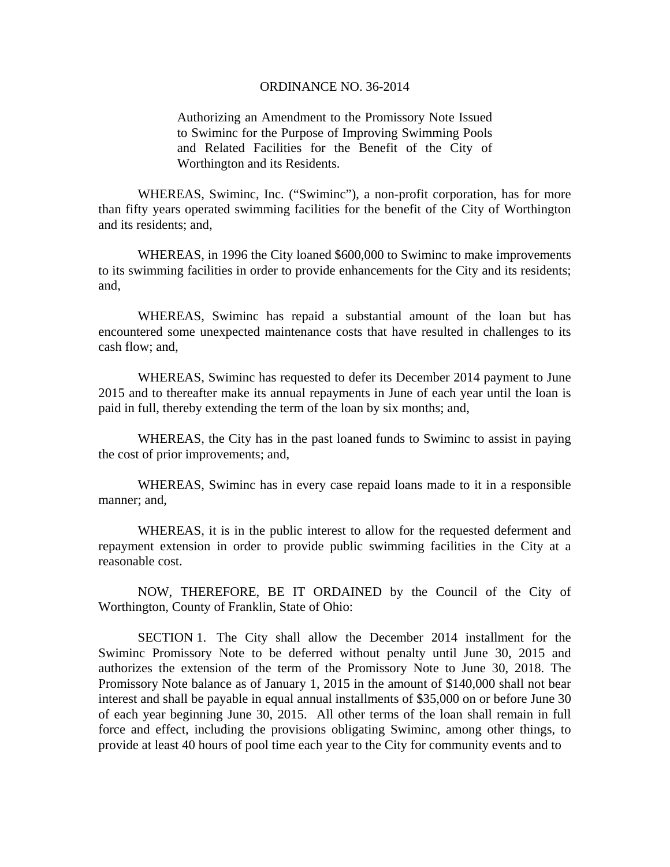## ORDINANCE NO. 36-2014

Authorizing an Amendment to the Promissory Note Issued to Swiminc for the Purpose of Improving Swimming Pools and Related Facilities for the Benefit of the City of Worthington and its Residents.

 WHEREAS, Swiminc, Inc. ("Swiminc"), a non-profit corporation, has for more than fifty years operated swimming facilities for the benefit of the City of Worthington and its residents; and,

 WHEREAS, in 1996 the City loaned \$600,000 to Swiminc to make improvements to its swimming facilities in order to provide enhancements for the City and its residents; and,

 WHEREAS, Swiminc has repaid a substantial amount of the loan but has encountered some unexpected maintenance costs that have resulted in challenges to its cash flow; and,

 WHEREAS, Swiminc has requested to defer its December 2014 payment to June 2015 and to thereafter make its annual repayments in June of each year until the loan is paid in full, thereby extending the term of the loan by six months; and,

 WHEREAS, the City has in the past loaned funds to Swiminc to assist in paying the cost of prior improvements; and,

 WHEREAS, Swiminc has in every case repaid loans made to it in a responsible manner; and,

 WHEREAS, it is in the public interest to allow for the requested deferment and repayment extension in order to provide public swimming facilities in the City at a reasonable cost.

 NOW, THEREFORE, BE IT ORDAINED by the Council of the City of Worthington, County of Franklin, State of Ohio:

 SECTION 1. The City shall allow the December 2014 installment for the Swiminc Promissory Note to be deferred without penalty until June 30, 2015 and authorizes the extension of the term of the Promissory Note to June 30, 2018. The Promissory Note balance as of January 1, 2015 in the amount of \$140,000 shall not bear interest and shall be payable in equal annual installments of \$35,000 on or before June 30 of each year beginning June 30, 2015. All other terms of the loan shall remain in full force and effect, including the provisions obligating Swiminc, among other things, to provide at least 40 hours of pool time each year to the City for community events and to